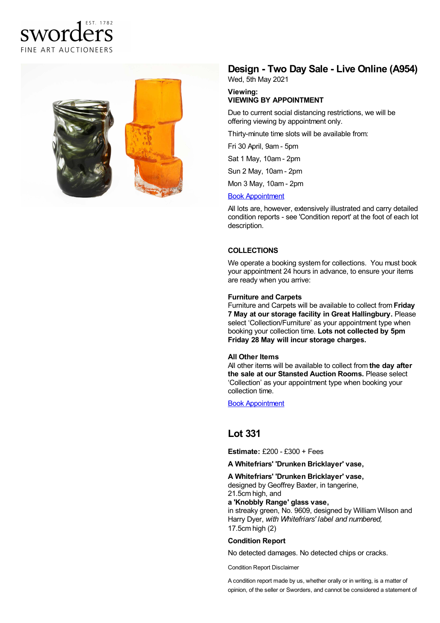# FST 1782 sworders FINE ART AUCTIONEERS



## **Design - Two Day Sale - Live Online (A954)**

Wed, 5th May 2021

#### **Viewing: VIEWING BY APPOINTMENT**

Due to current social distancing restrictions, we will be offering viewing by appointment only.

Thirty-minute time slots will be available from:

Fri 30 April, 9am - 5pm

Sat 1 May, 10am - 2pm

Sun 2 May, 10am - 2pm

Mon 3 May, 10am -2pm

#### Book [Appointment](https://www.sworder.co.uk/appointments/)

All lots are, however, extensively illustrated and carry detailed condition reports - see 'Condition report' at the foot of each lot description.

#### **COLLECTIONS**

We operate a booking system for collections. You must book your appointment 24 hours in advance, to ensure your items are ready when you arrive:

#### **Furniture and Carpets**

Furniture and Carpets will be available to collect from **Friday 7 May at our storage facility in Great Hallingbury.** Please select 'Collection/Furniture' as your appointment type when booking your collection time. **Lots not collected by 5pm Friday 28 May will incur storage charges.**

#### **All Other Items**

All other items will be available to collect from **the day after the sale at our Stansted Auction Rooms.** Please select 'Collection' as your appointment type when booking your collection time.

Book [Appointment](https://www.sworder.co.uk/appointments/)

### **Lot 331**

**Estimate:** £200 - £300 + Fees

**A Whitefriars' 'Drunken Bricklayer' vase,**

#### **A Whitefriars' 'Drunken Bricklayer' vase,**

designed by Geoffrey Baxter, in tangerine, 21.5cm high, and

**a 'Knobbly Range' glass vase,**

in streaky green, No. 9609, designed by William Wilson and Harry Dyer, *with Whitefriars' label and numbered,* 17.5cm high (2)

#### **Condition Report**

No detected damages. No detected chips or cracks.

Condition Report Disclaimer

A condition report made by us, whether orally or in writing, is a matter of opinion, of the seller or Sworders, and cannot be considered a statement of